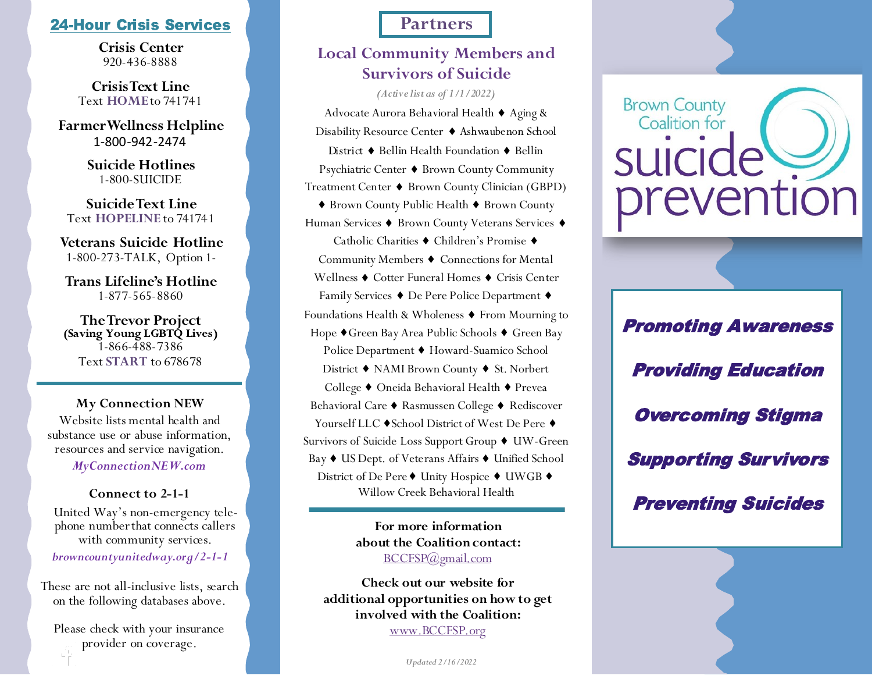## **24-Hour Crisis Services And Access Partners**

**Crisis Center** 920-436-8888

**CrisisText Line** Text **HOME**to 741741

**Farmer Wellness Helpline** 1-800-942-2474

> **Suicide Hotlines** 1-800-SUICIDE

**SuicideText Line** Text **HOPELINE** to 741741

**Veterans Suicide Hotline** 1-800-273-TALK, Option 1-

**Trans Lifeline's Hotline** 1-877-565-8860

**TheTrevor Project** 1-866-488-7386 Text **START** to 678678

### **My Connection NEW**

Website lists mental health and substance use or abuse information, resources and service navigation.

*MyConnectionNEW.com*

### **Connect to 2-1-1**

United Way's non-emergency telephone numberthat connects callers with community services.

*browncountyunitedway.org/2-1-1*

on the following databases above. These are not all-inclusive lists, search

> Please check with your insurance provider on coverage.

## **Local Community Members and Survivors of Suicide**

*(Active list as of 1/1/2022)* 

Advocate Aurora Behavioral Health  $\blacklozenge$  Aging & Disability Resource Center ♦ Ashwaubenon School District  $\blacklozenge$  Bellin Health Foundation  $\blacklozenge$  Bellin Psychiatric Center ♦ Brown County Community Treatment Center ♦ Brown County Clinician (GBPD) ♦ Brown County Public Health ♦ Brown County Human Services ♦ Brown County Veterans Services ♦ Catholic Charities ♦ Children's Promise ♦ Community Members  $\blacklozenge$  Connections for Mental Wellness  $\blacklozenge$  Cotter Funeral Homes  $\blacklozenge$  Crisis Center Family Services ♦ De Pere Police Department ♦ Foundations Health & Wholeness  $\blacklozenge$  From Mourning to Hope ♦ Green Bay Area Public Schools ♦ Green Bay Police Department ♦ Howard-Suamico School District  $\blacklozenge$  NAMI Brown County  $\blacklozenge$  St. Norbert College ♦ Oneida Behavioral Health ♦ Prevea Behavioral Care ◆ Rasmussen College ◆ Rediscover Yourself LLC ♦ School District of West De Pere ♦ Survivors of Suicide Loss Support Group ♦ UW-Green Bay ♦ US Dept. of Veterans Affairs ♦ Unified School District of De Pere ♦ Unity Hospice ♦ UWGB ♦ Willow Creek Behavioral Health

> **For more information about the Coalition contact:**  [BCCFSP@gmail.com](mailto:BCCFSP@gmail.com)

**Check out our website for additional opportunities on how to get involved with the Coalition:**  [www.BCCFSP.org](http://www.BCCFSP.org)

*Updated 2/16/2022*



Promoting Awareness Providing Education Overcoming Stigma Supporting Survivors Preventing Suicides